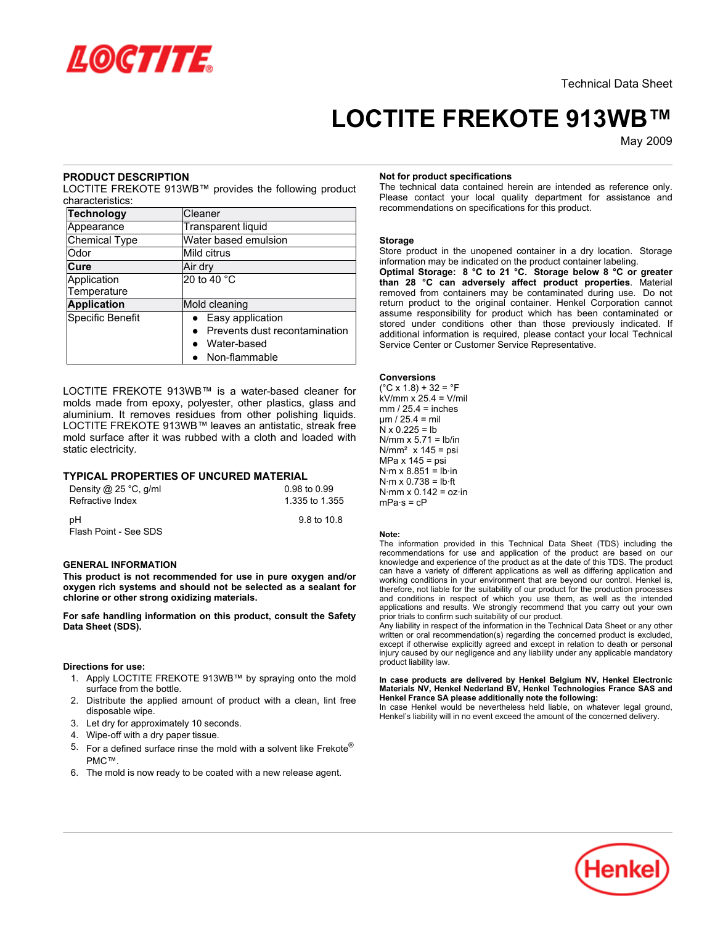

# **LOCTITE FREKOTE 913WB™**

May-2009

# **PRODUCT DESCRIPTION**

LOCTITE FREKOTE 913WB™ provides the following product characteristics:

| <b>Technology</b>  | Cleaner                       |  |
|--------------------|-------------------------------|--|
| Appearance         | <b>Transparent liquid</b>     |  |
| Chemical Type      | Water based emulsion          |  |
| Odor               | Mild citrus                   |  |
| Cure               | Air dry                       |  |
| Application        | 20 to 40 °C                   |  |
| Temperature        |                               |  |
| <b>Application</b> | Mold cleaning                 |  |
| Specific Benefit   | • Easy application            |  |
|                    | Prevents dust recontamination |  |
|                    | • Water-based                 |  |
|                    | • Non-flammable               |  |

LOCTITE FREKOTE 913WB™ is a water-based cleaner for molds made from epoxy, polyester, other plastics, glass and aluminium. It removes residues from other polishing liquids. LOCTITE FREKOTE 913WB™ leaves an antistatic, streak free mold surface after it was rubbed with a cloth and loaded with static electricity.

# **TYPICAL PROPERTIES OF UNCURED MATERIAL**

| Density $@$ 25 °C, g/ml | 0.98 to 0.99   |
|-------------------------|----------------|
| Refractive Index        | 1.335 to 1.355 |
| рH                      | 9.8 to 10.8    |
| Flash Point - See SDS   |                |

# **GENERAL INFORMATION**

**This product is not recommended for use in pure oxygen and/or oxygen rich systems and should not be selected as a sealant for chlorine or other strong oxidizing materials.**

**For safe handling information on this product, consult the Safety Data Sheet (SDS).**

## **Directions for use:**

- 1. Apply LOCTITE FREKOTE 913WB™ by spraying onto the mold surface from the bottle.
- 2. Distribute the applied amount of product with a clean, lint free disposable wipe.
- 3. Let dry for approximately 10 seconds.
- 4. Wipe-off with a dry paper tissue.
- 5. For a defined surface rinse the mold with a solvent like Frekote® PMC™.
- 6. The mold is now ready to be coated with a new release agent.

## **Not for product specifications**

The technical data contained herein are intended as reference only. Please contact your local quality department for assistance and recommendations on specifications for this product.

#### **Storage**

Store product in the unopened container in a dry location. Storage information may be indicated on the product container labeling.

**Optimal Storage: 8 °C to 21 °C. Storage below 8 °C or greater than 28 °C can adversely affect product properties**. Material removed from containers may be contaminated during use. Do not return product to the original container. Henkel Corporation cannot assume responsibility for product which has been contaminated or stored under conditions other than those previously indicated. If additional information is required, please contact your local Technical Service Center or Customer Service Representative.

## **Conversions**

 $(^{\circ}C \times 1.8) + 32 = ^{\circ}F$ kV/mm x 25.4 = V/mil  $mm / 25.4 = inches$ µm / 25.4 = mil  $N \times 0.225 = lb$  $N/mm \times 5.71 = lb/in$  $N/mm<sup>2</sup>$  x 145 = psi MPa  $x$  145 = psi  $N·m \times 8.851 = lb·in$  $N·m \times 0.738 = lb·ft$  $N·mm \times 0.142 = oz·in$  $mPa·s = cP$ 

#### **Note:**

The information provided in this Technical Data Sheet (TDS) including the recommendations for use and application of the product are based on our knowledge and experience of the product as at the date of this TDS. The product can have a variety of different applications as well as differing application and working conditions in your environment that are beyond our control. Henkel is, therefore, not liable for the suitability of our product for the production processes and conditions in respect of which you use them, as well as the intended applications and results. We strongly recommend that you carry out your own prior trials to confirm such suitability of our product.

Any liability in respect of the information in the Technical Data Sheet or any other written or oral recommendation(s) regarding the concerned product is excluded, except if otherwise explicitly agreed and except in relation to death or personal injury caused by our negligence and any liability under any applicable mandatory product liability law.

#### **In case products are delivered by Henkel Belgium NV, Henkel Electronic Materials NV, Henkel Nederland BV, Henkel Technologies France SAS and Henkel France SA please additionally note the following:**

In case Henkel would be nevertheless held liable, on whatever legal ground, Henkel's liability will in no event exceed the amount of the concerned delivery.